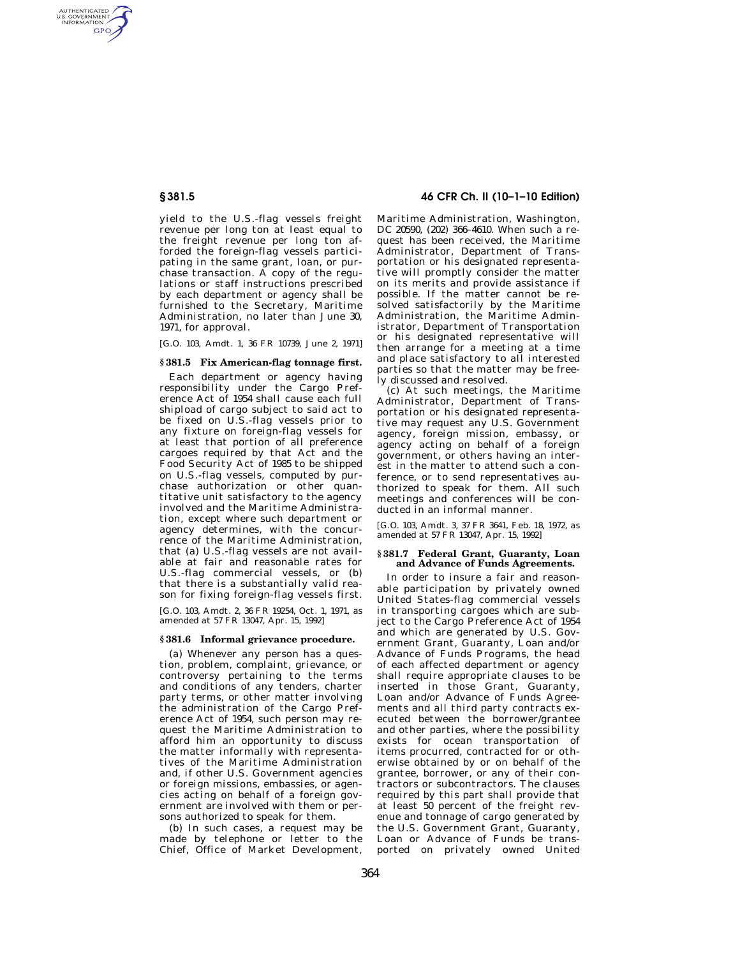AUTHENTICATED<br>U.S. GOVERNMENT<br>INFORMATION **GPO** 

> yield to the U.S.-flag vessels freight revenue per long ton at least equal to the freight revenue per long ton afforded the foreign-flag vessels participating in the same grant, loan, or purchase transaction. A copy of the regulations or staff instructions prescribed by each department or agency shall be furnished to the Secretary, Maritime Administration, no later than June 30, 1971, for approval.

> [G.O. 103, Amdt. 1, 36 FR 10739, June 2, 1971]

## **§ 381.5 Fix American-flag tonnage first.**

Each department or agency having responsibility under the Cargo Preference Act of 1954 shall cause each full shipload of cargo subject to said act to be fixed on U.S.-flag vessels prior to any fixture on foreign-flag vessels for at least that portion of all preference cargoes required by that Act and the Food Security Act of 1985 to be shipped on U.S.-flag vessels, computed by purchase authorization or other quantitative unit satisfactory to the agency involved and the Maritime Administration, except where such department or agency determines, with the concurrence of the Maritime Administration, that (a) U.S.-flag vessels are not available at fair and reasonable rates for U.S.-flag commercial vessels, or (b) that there is a substantially valid reason for fixing foreign-flag vessels first.

[G.O. 103, Amdt. 2, 36 FR 19254, Oct. 1, 1971, as amended at 57 FR 13047, Apr. 15, 1992]

## **§ 381.6 Informal grievance procedure.**

(a) Whenever any person has a question, problem, complaint, grievance, or controversy pertaining to the terms and conditions of any tenders, charter party terms, or other matter involving the administration of the Cargo Preference Act of 1954, such person may request the Maritime Administration to afford him an opportunity to discuss the matter informally with representatives of the Maritime Administration and, if other U.S. Government agencies or foreign missions, embassies, or agencies acting on behalf of a foreign government are involved with them or persons authorized to speak for them.

(b) In such cases, a request may be made by telephone or letter to the Chief, Office of Market Development,

# **§ 381.5 46 CFR Ch. II (10–1–10 Edition)**

Maritime Administration, Washington, DC 20590, (202) 366–4610. When such a request has been received, the Maritime Administrator, Department of Transportation or his designated representative will promptly consider the matter on its merits and provide assistance if possible. If the matter cannot be resolved satisfactorily by the Maritime Administration, the Maritime Administrator, Department of Transportation or his designated representative will then arrange for a meeting at a time and place satisfactory to all interested parties so that the matter may be freely discussed and resolved.

(c) At such meetings, the Maritime Administrator, Department of Transportation or his designated representative may request any U.S. Government agency, foreign mission, embassy, or agency acting on behalf of a foreign government, or others having an interest in the matter to attend such a conference, or to send representatives authorized to speak for them. All such meetings and conferences will be conducted in an informal manner.

[G.O. 103, Amdt. 3, 37 FR 3641, Feb. 18, 1972, as amended at 57 FR 13047, Apr. 15, 1992]

## **§ 381.7 Federal Grant, Guaranty, Loan and Advance of Funds Agreements.**

In order to insure a fair and reasonable participation by privately owned United States-flag commercial vessels in transporting cargoes which are subject to the Cargo Preference Act of 1954 and which are generated by U.S. Government Grant, Guaranty, Loan and/or Advance of Funds Programs, the head of each affected department or agency shall require appropriate clauses to be inserted in those Grant, Guaranty, Loan and/or Advance of Funds Agreements and all third party contracts executed between the borrower/grantee and other parties, where the possibility exists for ocean transportation of items procurred, contracted for or otherwise obtained by or on behalf of the grantee, borrower, or any of their contractors or subcontractors. The clauses required by this part shall provide that at least 50 percent of the freight revenue and tonnage of cargo generated by the U.S. Government Grant, Guaranty, Loan or Advance of Funds be transported on privately owned United